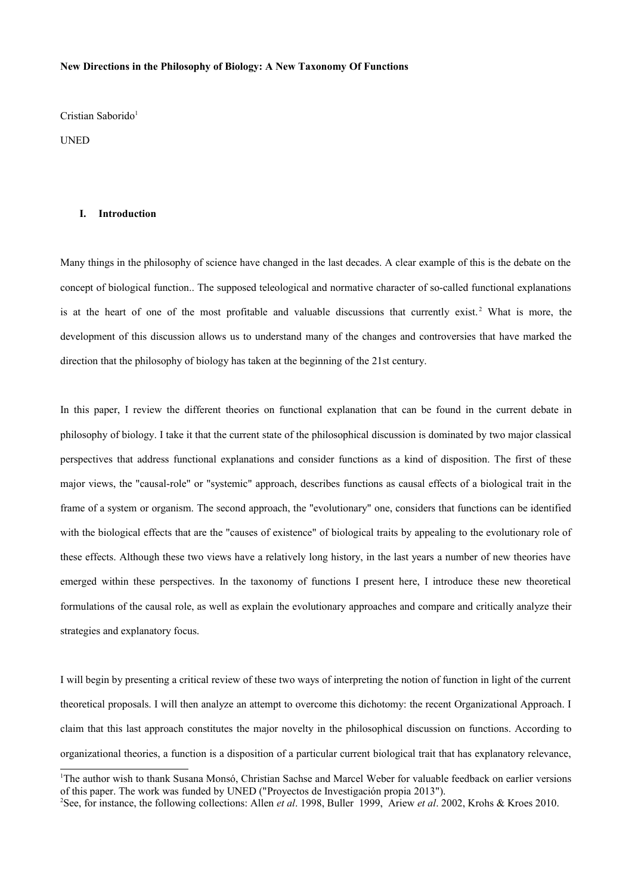## **New Directions in the Philosophy of Biology: A New Taxonomy Of Functions**

Cristian Saborido $1$ 

UNED

## **I. Introduction**

Many things in the philosophy of science have changed in the last decades. A clear example of this is the debate on the concept of biological function.. The supposed teleological and normative character of so-called functional explanations is at the heart of one of the most profitable and valuable discussions that currently exist.<sup>[2](#page-0-1)</sup> What is more, the development of this discussion allows us to understand many of the changes and controversies that have marked the direction that the philosophy of biology has taken at the beginning of the 21st century.

In this paper, I review the different theories on functional explanation that can be found in the current debate in philosophy of biology. I take it that the current state of the philosophical discussion is dominated by two major classical perspectives that address functional explanations and consider functions as a kind of disposition. The first of these major views, the "causal-role" or "systemic" approach, describes functions as causal effects of a biological trait in the frame of a system or organism. The second approach, the "evolutionary" one, considers that functions can be identified with the biological effects that are the "causes of existence" of biological traits by appealing to the evolutionary role of these effects. Although these two views have a relatively long history, in the last years a number of new theories have emerged within these perspectives. In the taxonomy of functions I present here, I introduce these new theoretical formulations of the causal role, as well as explain the evolutionary approaches and compare and critically analyze their strategies and explanatory focus.

I will begin by presenting a critical review of these two ways of interpreting the notion of function in light of the current theoretical proposals. I will then analyze an attempt to overcome this dichotomy: the recent Organizational Approach. I claim that this last approach constitutes the major novelty in the philosophical discussion on functions. According to organizational theories, a function is a disposition of a particular current biological trait that has explanatory relevance,

<span id="page-0-0"></span><sup>&</sup>lt;sup>1</sup>The author wish to thank Susana Monsó, Christian Sachse and Marcel Weber for valuable feedback on earlier versions of this paper. The work was funded by UNED ("Proyectos de Investigación propia 2013").

<span id="page-0-1"></span><sup>2</sup>See, for instance, the following collections: Allen *et al*. 1998, Buller 1999, Ariew *et al*. 2002, Krohs & Kroes 2010.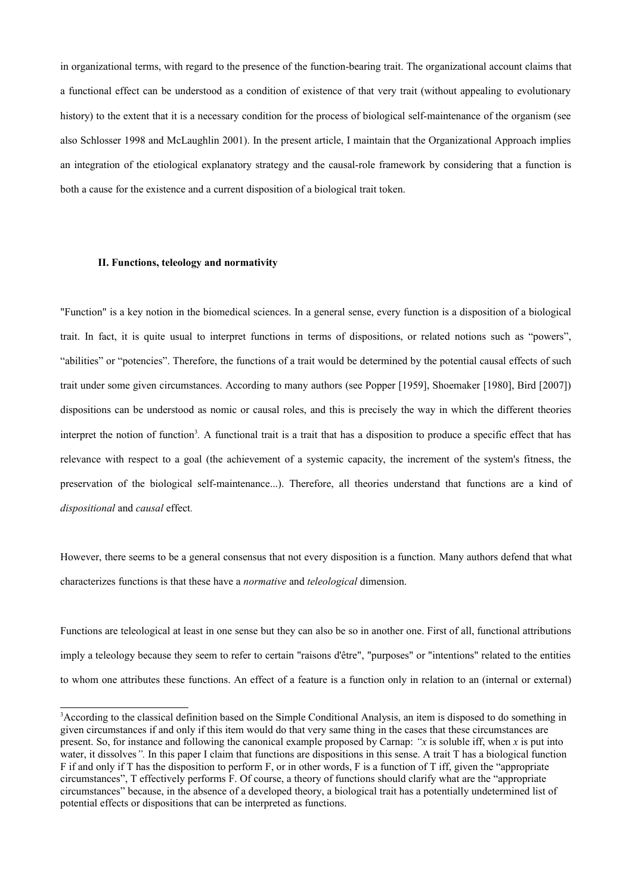in organizational terms, with regard to the presence of the function-bearing trait. The organizational account claims that a functional effect can be understood as a condition of existence of that very trait (without appealing to evolutionary history) to the extent that it is a necessary condition for the process of biological self-maintenance of the organism (see also Schlosser 1998 and McLaughlin 2001). In the present article, I maintain that the Organizational Approach implies an integration of the etiological explanatory strategy and the causal-role framework by considering that a function is both a cause for the existence and a current disposition of a biological trait token.

## **II. Functions, teleology and normativity**

"Function" is a key notion in the biomedical sciences. In a general sense, every function is a disposition of a biological trait. In fact, it is quite usual to interpret functions in terms of dispositions, or related notions such as "powers", "abilities" or "potencies". Therefore, the functions of a trait would be determined by the potential causal effects of such trait under some given circumstances. According to many authors (see Popper [1959], Shoemaker [1980], Bird [2007]) dispositions can be understood as nomic or causal roles, and this is precisely the way in which the different theories interpret the notion of function<sup>[3](#page-1-0)</sup>. A functional trait is a trait that has a disposition to produce a specific effect that has relevance with respect to a goal (the achievement of a systemic capacity, the increment of the system's fitness, the preservation of the biological self-maintenance...). Therefore, all theories understand that functions are a kind of *dispositional* and *causal* effect*.* 

However, there seems to be a general consensus that not every disposition is a function. Many authors defend that what characterizes functions is that these have a *normative* and *teleological* dimension.

Functions are teleological at least in one sense but they can also be so in another one. First of all, functional attributions imply a teleology because they seem to refer to certain "raisons d'être", "purposes" or "intentions" related to the entities to whom one attributes these functions. An effect of a feature is a function only in relation to an (internal or external)

<span id="page-1-0"></span><sup>3</sup>According to the classical definition based on the Simple Conditional Analysis, an item is disposed to do something in given circumstances if and only if this item would do that very same thing in the cases that these circumstances are present. So, for instance and following the canonical example proposed by Carnap: *"x* is soluble iff, when *x* is put into water, it dissolves*".* In this paper I claim that functions are dispositions in this sense. A trait T has a biological function F if and only if T has the disposition to perform F, or in other words, F is a function of T iff, given the "appropriate circumstances", T effectively performs F. Of course, a theory of functions should clarify what are the "appropriate circumstances" because, in the absence of a developed theory, a biological trait has a potentially undetermined list of potential effects or dispositions that can be interpreted as functions.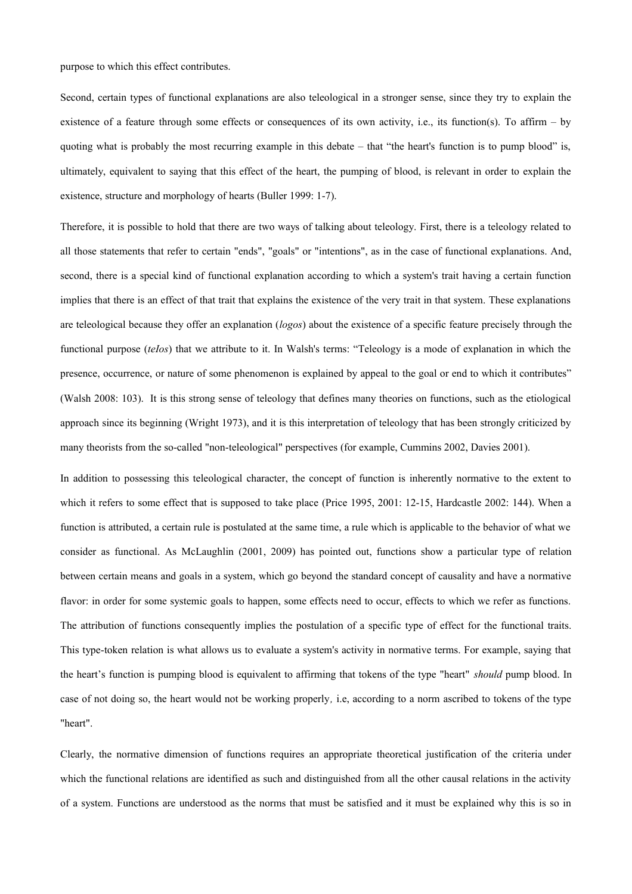purpose to which this effect contributes.

Second, certain types of functional explanations are also teleological in a stronger sense, since they try to explain the existence of a feature through some effects or consequences of its own activity, i.e., its function(s). To affirm – by quoting what is probably the most recurring example in this debate – that "the heart's function is to pump blood" is, ultimately, equivalent to saying that this effect of the heart, the pumping of blood, is relevant in order to explain the existence, structure and morphology of hearts (Buller 1999: 1-7).

Therefore, it is possible to hold that there are two ways of talking about teleology. First, there is a teleology related to all those statements that refer to certain "ends", "goals" or "intentions", as in the case of functional explanations. And, second, there is a special kind of functional explanation according to which a system's trait having a certain function implies that there is an effect of that trait that explains the existence of the very trait in that system. These explanations are teleological because they offer an explanation (*logos*) about the existence of a specific feature precisely through the functional purpose (*teIos*) that we attribute to it. In Walsh's terms: "Teleology is a mode of explanation in which the presence, occurrence, or nature of some phenomenon is explained by appeal to the goal or end to which it contributes" (Walsh 2008: 103). It is this strong sense of teleology that defines many theories on functions, such as the etiological approach since its beginning (Wright 1973), and it is this interpretation of teleology that has been strongly criticized by many theorists from the so-called "non-teleological" perspectives (for example, Cummins 2002, Davies 2001).

In addition to possessing this teleological character, the concept of function is inherently normative to the extent to which it refers to some effect that is supposed to take place (Price 1995, 2001: 12-15, Hardcastle 2002: 144). When a function is attributed, a certain rule is postulated at the same time, a rule which is applicable to the behavior of what we consider as functional. As McLaughlin (2001, 2009) has pointed out, functions show a particular type of relation between certain means and goals in a system, which go beyond the standard concept of causality and have a normative flavor: in order for some systemic goals to happen, some effects need to occur, effects to which we refer as functions. The attribution of functions consequently implies the postulation of a specific type of effect for the functional traits. This type-token relation is what allows us to evaluate a system's activity in normative terms. For example, saying that the heart's function is pumping blood is equivalent to affirming that tokens of the type "heart" *should* pump blood. In case of not doing so, the heart would not be working properly*,* i.e, according to a norm ascribed to tokens of the type "heart".

Clearly, the normative dimension of functions requires an appropriate theoretical justification of the criteria under which the functional relations are identified as such and distinguished from all the other causal relations in the activity of a system. Functions are understood as the norms that must be satisfied and it must be explained why this is so in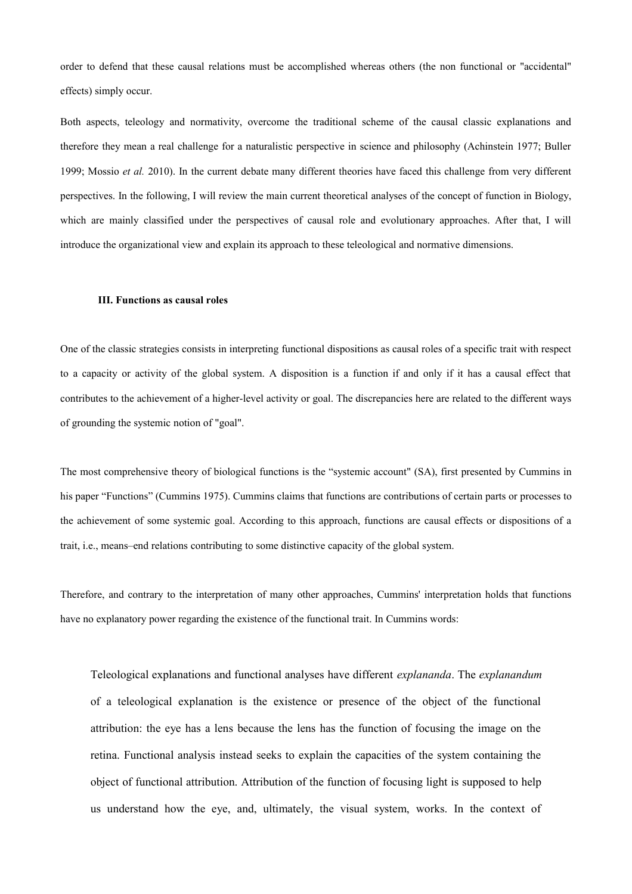order to defend that these causal relations must be accomplished whereas others (the non functional or "accidental" effects) simply occur.

Both aspects, teleology and normativity, overcome the traditional scheme of the causal classic explanations and therefore they mean a real challenge for a naturalistic perspective in science and philosophy (Achinstein 1977; Buller 1999; Mossio *et al.* 2010). In the current debate many different theories have faced this challenge from very different perspectives. In the following, I will review the main current theoretical analyses of the concept of function in Biology, which are mainly classified under the perspectives of causal role and evolutionary approaches. After that, I will introduce the organizational view and explain its approach to these teleological and normative dimensions.

## **III. Functions as causal roles**

One of the classic strategies consists in interpreting functional dispositions as causal roles of a specific trait with respect to a capacity or activity of the global system. A disposition is a function if and only if it has a causal effect that contributes to the achievement of a higher-level activity or goal. The discrepancies here are related to the different ways of grounding the systemic notion of "goal".

The most comprehensive theory of biological functions is the "systemic account" (SA), first presented by Cummins in his paper "Functions" (Cummins 1975). Cummins claims that functions are contributions of certain parts or processes to the achievement of some systemic goal. According to this approach, functions are causal effects or dispositions of a trait, i.e., means–end relations contributing to some distinctive capacity of the global system.

Therefore, and contrary to the interpretation of many other approaches, Cummins' interpretation holds that functions have no explanatory power regarding the existence of the functional trait. In Cummins words:

Teleological explanations and functional analyses have different *explananda*. The *explanandum* of a teleological explanation is the existence or presence of the object of the functional attribution: the eye has a lens because the lens has the function of focusing the image on the retina. Functional analysis instead seeks to explain the capacities of the system containing the object of functional attribution. Attribution of the function of focusing light is supposed to help us understand how the eye, and, ultimately, the visual system, works. In the context of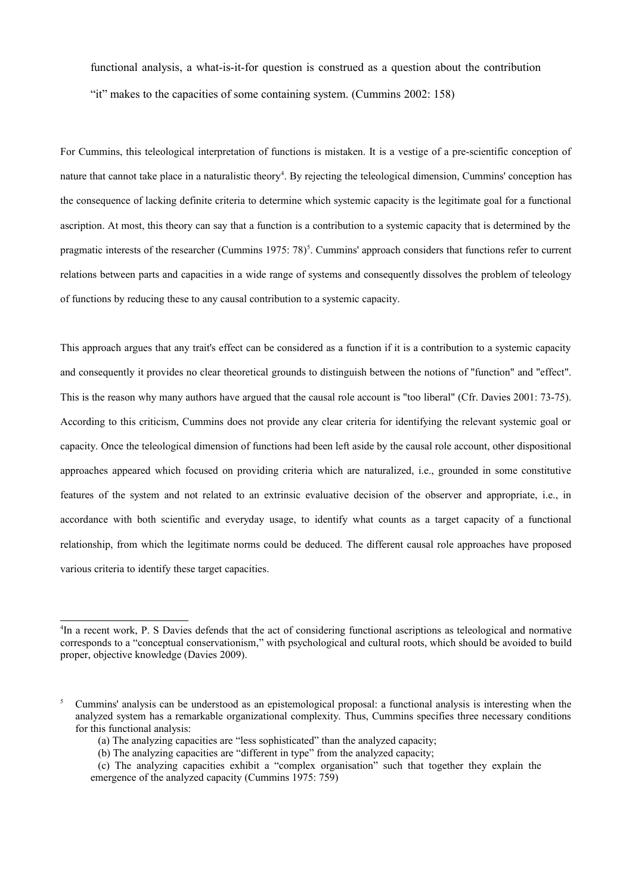functional analysis, a what-is-it-for question is construed as a question about the contribution

"it" makes to the capacities of some containing system. (Cummins 2002: 158)

For Cummins, this teleological interpretation of functions is mistaken. It is a vestige of a pre-scientific conception of nature that cannot take place in a naturalistic theory<sup>[4](#page-4-0)</sup>. By rejecting the teleological dimension, Cummins' conception has the consequence of lacking definite criteria to determine which systemic capacity is the legitimate goal for a functional ascription. At most, this theory can say that a function is a contribution to a systemic capacity that is determined by the pragmatic interests of the researcher (Cummins 197[5](#page-4-1): 78)<sup>5</sup>. Cummins' approach considers that functions refer to current relations between parts and capacities in a wide range of systems and consequently dissolves the problem of teleology of functions by reducing these to any causal contribution to a systemic capacity.

This approach argues that any trait's effect can be considered as a function if it is a contribution to a systemic capacity and consequently it provides no clear theoretical grounds to distinguish between the notions of "function" and "effect". This is the reason why many authors have argued that the causal role account is "too liberal" (Cfr. Davies 2001: 73-75). According to this criticism, Cummins does not provide any clear criteria for identifying the relevant systemic goal or capacity. Once the teleological dimension of functions had been left aside by the causal role account, other dispositional approaches appeared which focused on providing criteria which are naturalized, i.e., grounded in some constitutive features of the system and not related to an extrinsic evaluative decision of the observer and appropriate, i.e., in accordance with both scientific and everyday usage, to identify what counts as a target capacity of a functional relationship, from which the legitimate norms could be deduced. The different causal role approaches have proposed various criteria to identify these target capacities.

<span id="page-4-0"></span><sup>4</sup> In a recent work, P. S Davies defends that the act of considering functional ascriptions as teleological and normative corresponds to a "conceptual conservationism," with psychological and cultural roots, which should be avoided to build proper, objective knowledge (Davies 2009).

<span id="page-4-1"></span><sup>5</sup> Cummins' analysis can be understood as an epistemological proposal: a functional analysis is interesting when the analyzed system has a remarkable organizational complexity. Thus, Cummins specifies three necessary conditions for this functional analysis:

<sup>(</sup>a) The analyzing capacities are "less sophisticated" than the analyzed capacity;

<sup>(</sup>b) The analyzing capacities are "different in type" from the analyzed capacity;

<sup>(</sup>c) The analyzing capacities exhibit a "complex organisation" such that together they explain the emergence of the analyzed capacity (Cummins 1975: 759)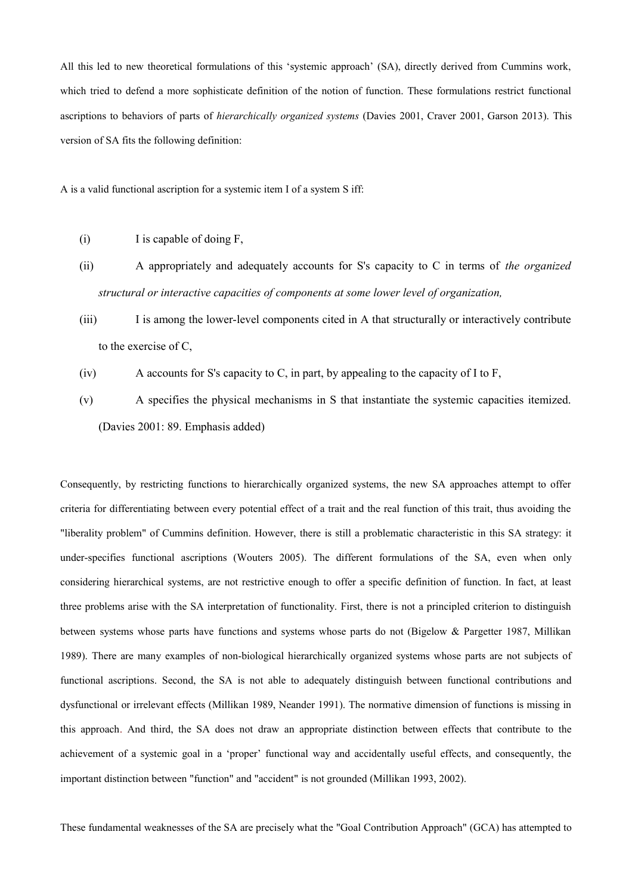All this led to new theoretical formulations of this 'systemic approach' (SA), directly derived from Cummins work, which tried to defend a more sophisticate definition of the notion of function. These formulations restrict functional ascriptions to behaviors of parts of *hierarchically organized systems* (Davies 2001, Craver 2001, Garson 2013). This version of SA fits the following definition:

A is a valid functional ascription for a systemic item I of a system S iff:

- $(i)$  I is capable of doing F,
- (ii) A appropriately and adequately accounts for S's capacity to C in terms of *the organized structural or interactive capacities of components at some lower level of organization,*
- (iii) I is among the lower-level components cited in A that structurally or interactively contribute to the exercise of C,
- (iv) A accounts for S's capacity to C, in part, by appealing to the capacity of I to F,
- (v) A specifies the physical mechanisms in S that instantiate the systemic capacities itemized. (Davies 2001: 89. Emphasis added)

Consequently, by restricting functions to hierarchically organized systems, the new SA approaches attempt to offer criteria for differentiating between every potential effect of a trait and the real function of this trait, thus avoiding the "liberality problem" of Cummins definition. However, there is still a problematic characteristic in this SA strategy: it under-specifies functional ascriptions (Wouters 2005). The different formulations of the SA, even when only considering hierarchical systems, are not restrictive enough to offer a specific definition of function. In fact, at least three problems arise with the SA interpretation of functionality. First, there is not a principled criterion to distinguish between systems whose parts have functions and systems whose parts do not (Bigelow & Pargetter 1987, Millikan 1989). There are many examples of non-biological hierarchically organized systems whose parts are not subjects of functional ascriptions. Second, the SA is not able to adequately distinguish between functional contributions and dysfunctional or irrelevant effects (Millikan 1989, Neander 1991). The normative dimension of functions is missing in this approach. And third, the SA does not draw an appropriate distinction between effects that contribute to the achievement of a systemic goal in a 'proper' functional way and accidentally useful effects, and consequently, the important distinction between "function" and "accident" is not grounded (Millikan 1993, 2002).

These fundamental weaknesses of the SA are precisely what the "Goal Contribution Approach" (GCA) has attempted to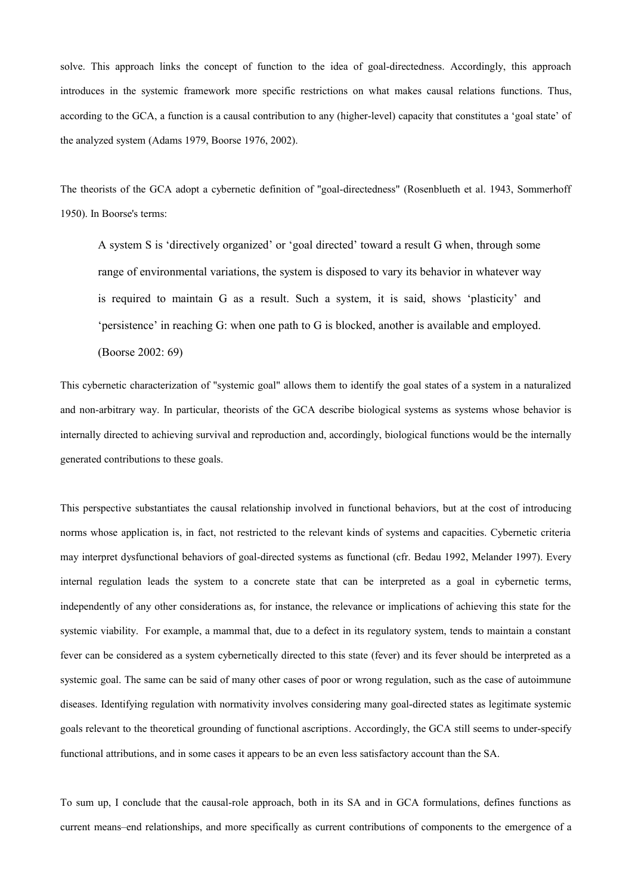solve. This approach links the concept of function to the idea of goal-directedness. Accordingly, this approach introduces in the systemic framework more specific restrictions on what makes causal relations functions. Thus, according to the GCA, a function is a causal contribution to any (higher-level) capacity that constitutes a 'goal state' of the analyzed system (Adams 1979, Boorse 1976, 2002).

The theorists of the GCA adopt a cybernetic definition of "goal-directedness" (Rosenblueth et al. 1943, Sommerhoff 1950). In Boorse's terms:

A system S is 'directively organized' or 'goal directed' toward a result G when, through some range of environmental variations, the system is disposed to vary its behavior in whatever way is required to maintain G as a result. Such a system, it is said, shows 'plasticity' and 'persistence' in reaching G: when one path to G is blocked, another is available and employed. (Boorse 2002: 69)

This cybernetic characterization of "systemic goal" allows them to identify the goal states of a system in a naturalized and non-arbitrary way. In particular, theorists of the GCA describe biological systems as systems whose behavior is internally directed to achieving survival and reproduction and, accordingly, biological functions would be the internally generated contributions to these goals.

This perspective substantiates the causal relationship involved in functional behaviors, but at the cost of introducing norms whose application is, in fact, not restricted to the relevant kinds of systems and capacities. Cybernetic criteria may interpret dysfunctional behaviors of goal-directed systems as functional (cfr. Bedau 1992, Melander 1997). Every internal regulation leads the system to a concrete state that can be interpreted as a goal in cybernetic terms, independently of any other considerations as, for instance, the relevance or implications of achieving this state for the systemic viability. For example, a mammal that, due to a defect in its regulatory system, tends to maintain a constant fever can be considered as a system cybernetically directed to this state (fever) and its fever should be interpreted as a systemic goal. The same can be said of many other cases of poor or wrong regulation, such as the case of autoimmune diseases. Identifying regulation with normativity involves considering many goal-directed states as legitimate systemic goals relevant to the theoretical grounding of functional ascriptions. Accordingly, the GCA still seems to under-specify functional attributions, and in some cases it appears to be an even less satisfactory account than the SA.

To sum up, I conclude that the causal-role approach, both in its SA and in GCA formulations, defines functions as current means–end relationships, and more specifically as current contributions of components to the emergence of a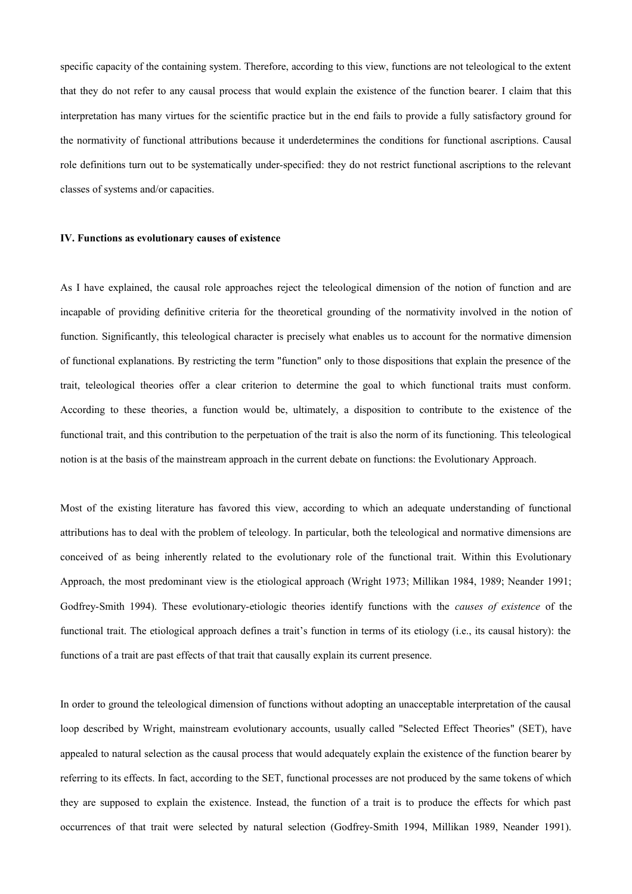specific capacity of the containing system. Therefore, according to this view, functions are not teleological to the extent that they do not refer to any causal process that would explain the existence of the function bearer. I claim that this interpretation has many virtues for the scientific practice but in the end fails to provide a fully satisfactory ground for the normativity of functional attributions because it underdetermines the conditions for functional ascriptions. Causal role definitions turn out to be systematically under-specified: they do not restrict functional ascriptions to the relevant classes of systems and/or capacities.

### **IV. Functions as evolutionary causes of existence**

As I have explained, the causal role approaches reject the teleological dimension of the notion of function and are incapable of providing definitive criteria for the theoretical grounding of the normativity involved in the notion of function. Significantly, this teleological character is precisely what enables us to account for the normative dimension of functional explanations. By restricting the term "function" only to those dispositions that explain the presence of the trait, teleological theories offer a clear criterion to determine the goal to which functional traits must conform. According to these theories, a function would be, ultimately, a disposition to contribute to the existence of the functional trait, and this contribution to the perpetuation of the trait is also the norm of its functioning. This teleological notion is at the basis of the mainstream approach in the current debate on functions: the Evolutionary Approach.

Most of the existing literature has favored this view, according to which an adequate understanding of functional attributions has to deal with the problem of teleology. In particular, both the teleological and normative dimensions are conceived of as being inherently related to the evolutionary role of the functional trait. Within this Evolutionary Approach, the most predominant view is the etiological approach (Wright 1973; Millikan 1984, 1989; Neander 1991; Godfrey-Smith 1994). These evolutionary-etiologic theories identify functions with the *causes of existence* of the functional trait. The etiological approach defines a trait's function in terms of its etiology (i.e., its causal history): the functions of a trait are past effects of that trait that causally explain its current presence.

In order to ground the teleological dimension of functions without adopting an unacceptable interpretation of the causal loop described by Wright, mainstream evolutionary accounts, usually called "Selected Effect Theories" (SET), have appealed to natural selection as the causal process that would adequately explain the existence of the function bearer by referring to its effects. In fact, according to the SET, functional processes are not produced by the same tokens of which they are supposed to explain the existence. Instead, the function of a trait is to produce the effects for which past occurrences of that trait were selected by natural selection (Godfrey-Smith 1994, Millikan 1989, Neander 1991).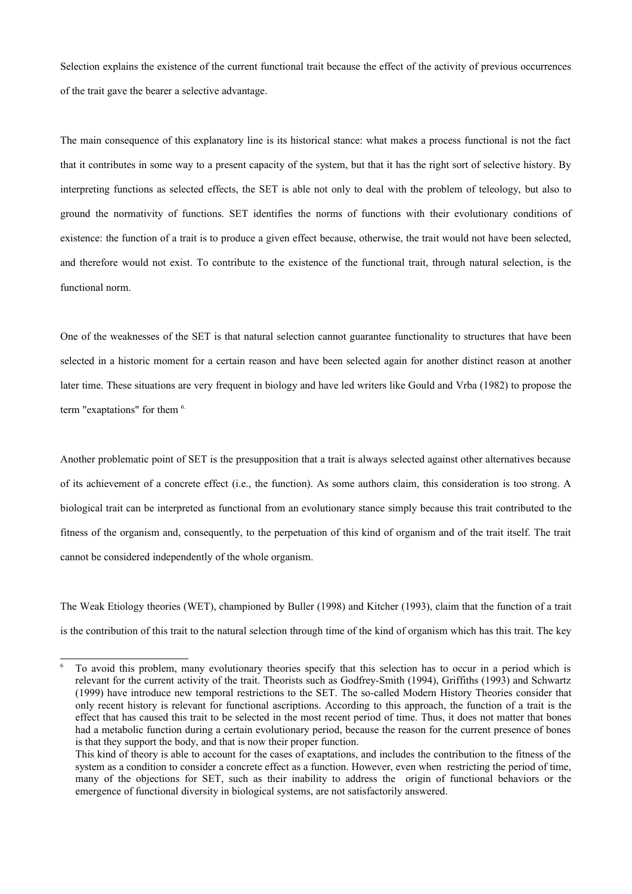Selection explains the existence of the current functional trait because the effect of the activity of previous occurrences of the trait gave the bearer a selective advantage.

The main consequence of this explanatory line is its historical stance: what makes a process functional is not the fact that it contributes in some way to a present capacity of the system, but that it has the right sort of selective history. By interpreting functions as selected effects, the SET is able not only to deal with the problem of teleology, but also to ground the normativity of functions. SET identifies the norms of functions with their evolutionary conditions of existence: the function of a trait is to produce a given effect because, otherwise, the trait would not have been selected, and therefore would not exist. To contribute to the existence of the functional trait, through natural selection, is the functional norm.

One of the weaknesses of the SET is that natural selection cannot guarantee functionality to structures that have been selected in a historic moment for a certain reason and have been selected again for another distinct reason at another later time. These situations are very frequent in biology and have led writers like Gould and Vrba (1982) to propose the term "exaptations" for them <sup>[6.](#page-8-0)</sup>

Another problematic point of SET is the presupposition that a trait is always selected against other alternatives because of its achievement of a concrete effect (i.e., the function). As some authors claim, this consideration is too strong. A biological trait can be interpreted as functional from an evolutionary stance simply because this trait contributed to the fitness of the organism and, consequently, to the perpetuation of this kind of organism and of the trait itself. The trait cannot be considered independently of the whole organism.

The Weak Etiology theories (WET), championed by Buller (1998) and Kitcher (1993), claim that the function of a trait is the contribution of this trait to the natural selection through time of the kind of organism which has this trait. The key

<span id="page-8-0"></span><sup>6</sup> To avoid this problem, many evolutionary theories specify that this selection has to occur in a period which is relevant for the current activity of the trait. Theorists such as Godfrey-Smith (1994), Griffiths (1993) and Schwartz (1999) have introduce new temporal restrictions to the SET. The so-called Modern History Theories consider that only recent history is relevant for functional ascriptions. According to this approach, the function of a trait is the effect that has caused this trait to be selected in the most recent period of time. Thus, it does not matter that bones had a metabolic function during a certain evolutionary period, because the reason for the current presence of bones is that they support the body, and that is now their proper function.

This kind of theory is able to account for the cases of exaptations, and includes the contribution to the fitness of the system as a condition to consider a concrete effect as a function. However, even when restricting the period of time, many of the objections for SET, such as their inability to address the origin of functional behaviors or the emergence of functional diversity in biological systems, are not satisfactorily answered.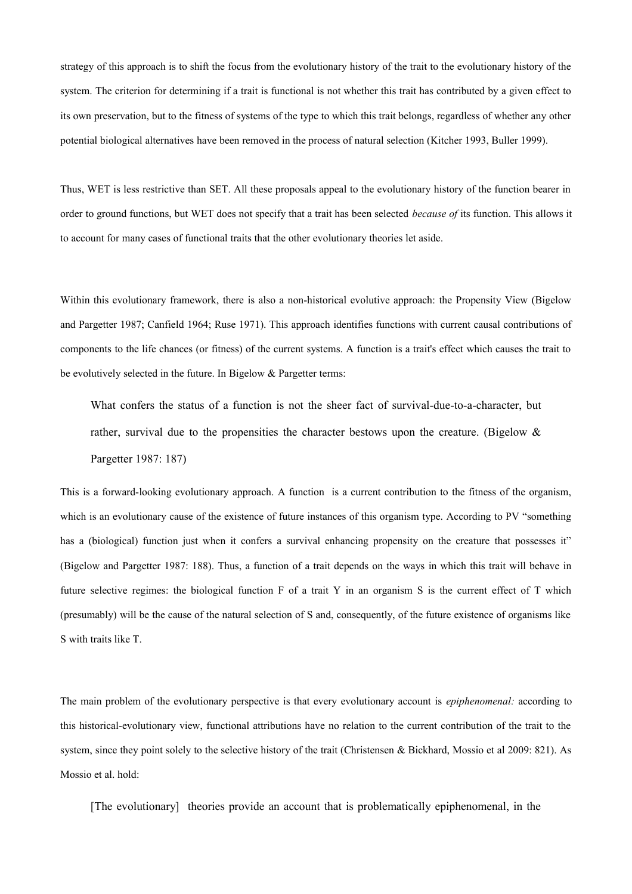strategy of this approach is to shift the focus from the evolutionary history of the trait to the evolutionary history of the system. The criterion for determining if a trait is functional is not whether this trait has contributed by a given effect to its own preservation, but to the fitness of systems of the type to which this trait belongs, regardless of whether any other potential biological alternatives have been removed in the process of natural selection (Kitcher 1993, Buller 1999).

Thus, WET is less restrictive than SET. All these proposals appeal to the evolutionary history of the function bearer in order to ground functions, but WET does not specify that a trait has been selected *because of* its function. This allows it to account for many cases of functional traits that the other evolutionary theories let aside.

Within this evolutionary framework, there is also a non-historical evolutive approach: the Propensity View (Bigelow and Pargetter 1987; Canfield 1964; Ruse 1971). This approach identifies functions with current causal contributions of components to the life chances (or fitness) of the current systems. A function is a trait's effect which causes the trait to be evolutively selected in the future. In Bigelow & Pargetter terms:

What confers the status of a function is not the sheer fact of survival-due-to-a-character, but rather, survival due to the propensities the character bestows upon the creature. (Bigelow  $\&$ Pargetter 1987: 187)

This is a forward-looking evolutionary approach. A function is a current contribution to the fitness of the organism, which is an evolutionary cause of the existence of future instances of this organism type. According to PV "something has a (biological) function just when it confers a survival enhancing propensity on the creature that possesses it" (Bigelow and Pargetter 1987: 188). Thus, a function of a trait depends on the ways in which this trait will behave in future selective regimes: the biological function F of a trait Y in an organism S is the current effect of T which (presumably) will be the cause of the natural selection of S and, consequently, of the future existence of organisms like S with traits like T.

The main problem of the evolutionary perspective is that every evolutionary account is *epiphenomenal:* according to this historical-evolutionary view, functional attributions have no relation to the current contribution of the trait to the system, since they point solely to the selective history of the trait (Christensen & Bickhard, Mossio et al 2009: 821). As Mossio et al. hold:

[The evolutionary] theories provide an account that is problematically epiphenomenal, in the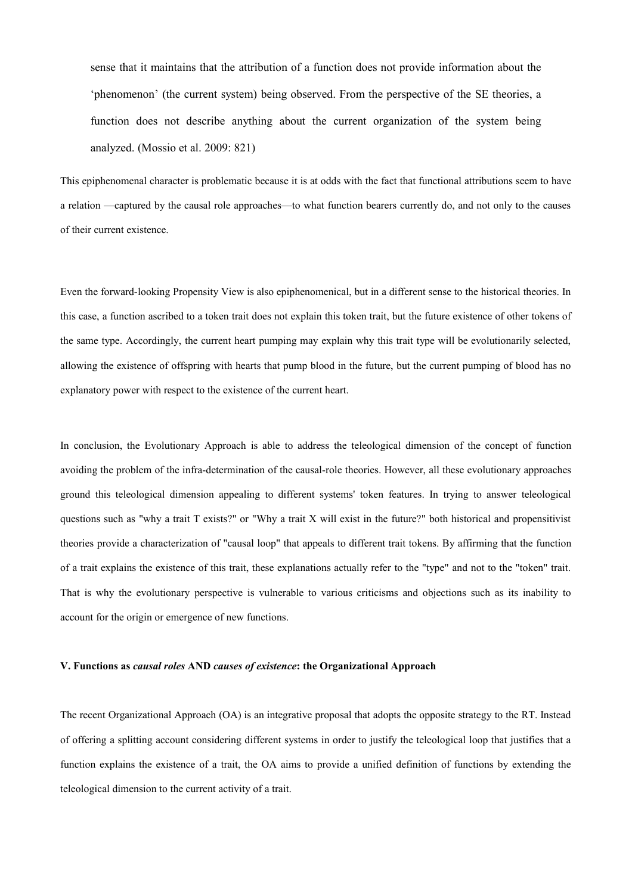sense that it maintains that the attribution of a function does not provide information about the 'phenomenon' (the current system) being observed. From the perspective of the SE theories, a function does not describe anything about the current organization of the system being analyzed. (Mossio et al. 2009: 821)

This epiphenomenal character is problematic because it is at odds with the fact that functional attributions seem to have a relation —captured by the causal role approaches—to what function bearers currently do, and not only to the causes of their current existence.

Even the forward-looking Propensity View is also epiphenomenical, but in a different sense to the historical theories. In this case, a function ascribed to a token trait does not explain this token trait, but the future existence of other tokens of the same type. Accordingly, the current heart pumping may explain why this trait type will be evolutionarily selected, allowing the existence of offspring with hearts that pump blood in the future, but the current pumping of blood has no explanatory power with respect to the existence of the current heart.

In conclusion, the Evolutionary Approach is able to address the teleological dimension of the concept of function avoiding the problem of the infra-determination of the causal-role theories. However, all these evolutionary approaches ground this teleological dimension appealing to different systems' token features. In trying to answer teleological questions such as "why a trait T exists?" or "Why a trait X will exist in the future?" both historical and propensitivist theories provide a characterization of "causal loop" that appeals to different trait tokens. By affirming that the function of a trait explains the existence of this trait, these explanations actually refer to the "type" and not to the "token" trait. That is why the evolutionary perspective is vulnerable to various criticisms and objections such as its inability to account for the origin or emergence of new functions.

### **V. Functions as** *causal roles* **AND** *causes of existence***: the Organizational Approach**

The recent Organizational Approach (OA) is an integrative proposal that adopts the opposite strategy to the RT. Instead of offering a splitting account considering different systems in order to justify the teleological loop that justifies that a function explains the existence of a trait, the OA aims to provide a unified definition of functions by extending the teleological dimension to the current activity of a trait.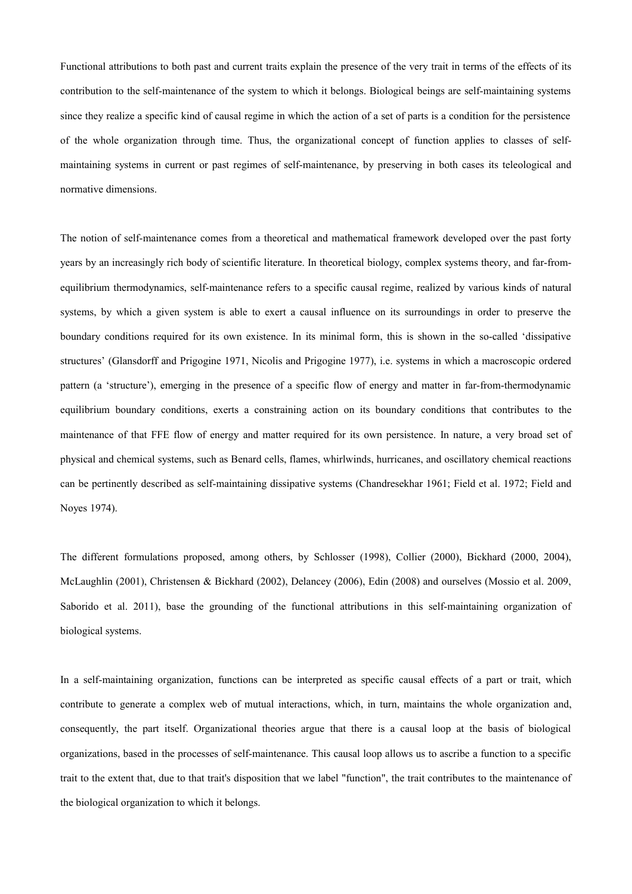Functional attributions to both past and current traits explain the presence of the very trait in terms of the effects of its contribution to the self-maintenance of the system to which it belongs. Biological beings are self-maintaining systems since they realize a specific kind of causal regime in which the action of a set of parts is a condition for the persistence of the whole organization through time. Thus, the organizational concept of function applies to classes of selfmaintaining systems in current or past regimes of self-maintenance, by preserving in both cases its teleological and normative dimensions.

The notion of self-maintenance comes from a theoretical and mathematical framework developed over the past forty years by an increasingly rich body of scientific literature. In theoretical biology, complex systems theory, and far-fromequilibrium thermodynamics, self-maintenance refers to a specific causal regime, realized by various kinds of natural systems, by which a given system is able to exert a causal influence on its surroundings in order to preserve the boundary conditions required for its own existence. In its minimal form, this is shown in the so-called 'dissipative structures' (Glansdorff and Prigogine 1971, Nicolis and Prigogine 1977), i.e. systems in which a macroscopic ordered pattern (a 'structure'), emerging in the presence of a specific flow of energy and matter in far-from-thermodynamic equilibrium boundary conditions, exerts a constraining action on its boundary conditions that contributes to the maintenance of that FFE flow of energy and matter required for its own persistence. In nature, a very broad set of physical and chemical systems, such as Benard cells, flames, whirlwinds, hurricanes, and oscillatory chemical reactions can be pertinently described as self-maintaining dissipative systems (Chandresekhar 1961; Field et al. 1972; Field and Noyes 1974).

The different formulations proposed, among others, by Schlosser (1998), Collier (2000), Bickhard (2000, 2004), McLaughlin (2001), Christensen & Bickhard (2002), Delancey (2006), Edin (2008) and ourselves (Mossio et al. 2009, Saborido et al. 2011), base the grounding of the functional attributions in this self-maintaining organization of biological systems.

In a self-maintaining organization, functions can be interpreted as specific causal effects of a part or trait, which contribute to generate a complex web of mutual interactions, which, in turn, maintains the whole organization and, consequently, the part itself. Organizational theories argue that there is a causal loop at the basis of biological organizations, based in the processes of self-maintenance. This causal loop allows us to ascribe a function to a specific trait to the extent that, due to that trait's disposition that we label "function", the trait contributes to the maintenance of the biological organization to which it belongs.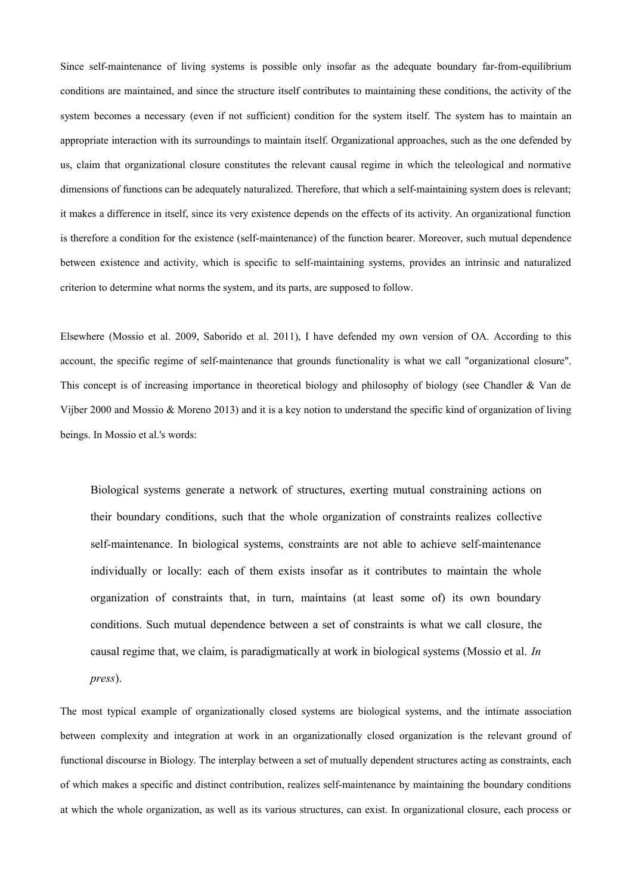Since self-maintenance of living systems is possible only insofar as the adequate boundary far-from-equilibrium conditions are maintained, and since the structure itself contributes to maintaining these conditions, the activity of the system becomes a necessary (even if not sufficient) condition for the system itself. The system has to maintain an appropriate interaction with its surroundings to maintain itself. Organizational approaches, such as the one defended by us, claim that organizational closure constitutes the relevant causal regime in which the teleological and normative dimensions of functions can be adequately naturalized. Therefore, that which a self-maintaining system does is relevant; it makes a difference in itself, since its very existence depends on the effects of its activity. An organizational function is therefore a condition for the existence (self-maintenance) of the function bearer. Moreover, such mutual dependence between existence and activity, which is specific to self-maintaining systems, provides an intrinsic and naturalized criterion to determine what norms the system, and its parts, are supposed to follow.

Elsewhere (Mossio et al. 2009, Saborido et al. 2011), I have defended my own version of OA. According to this account, the specific regime of self-maintenance that grounds functionality is what we call "organizational closure". This concept is of increasing importance in theoretical biology and philosophy of biology (see Chandler & Van de Vijber 2000 and Mossio & Moreno 2013) and it is a key notion to understand the specific kind of organization of living beings. In Mossio et al.'s words:

Biological systems generate a network of structures, exerting mutual constraining actions on their boundary conditions, such that the whole organization of constraints realizes collective self-maintenance. In biological systems, constraints are not able to achieve self-maintenance individually or locally: each of them exists insofar as it contributes to maintain the whole organization of constraints that, in turn, maintains (at least some of) its own boundary conditions. Such mutual dependence between a set of constraints is what we call closure, the causal regime that, we claim, is paradigmatically at work in biological systems (Mossio et al. *In press*).

The most typical example of organizationally closed systems are biological systems, and the intimate association between complexity and integration at work in an organizationally closed organization is the relevant ground of functional discourse in Biology. The interplay between a set of mutually dependent structures acting as constraints, each of which makes a specific and distinct contribution, realizes self-maintenance by maintaining the boundary conditions at which the whole organization, as well as its various structures, can exist. In organizational closure, each process or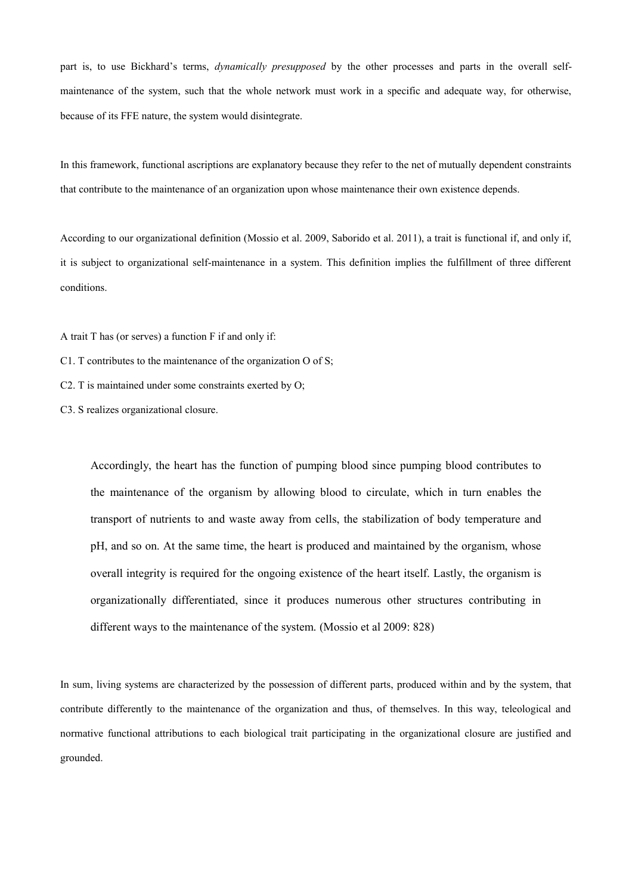part is, to use Bickhard's terms, *dynamically presupposed* by the other processes and parts in the overall selfmaintenance of the system, such that the whole network must work in a specific and adequate way, for otherwise, because of its FFE nature, the system would disintegrate.

In this framework, functional ascriptions are explanatory because they refer to the net of mutually dependent constraints that contribute to the maintenance of an organization upon whose maintenance their own existence depends.

According to our organizational definition (Mossio et al. 2009, Saborido et al. 2011), a trait is functional if, and only if, it is subject to organizational self-maintenance in a system. This definition implies the fulfillment of three different conditions.

A trait T has (or serves) a function F if and only if:

- C1. T contributes to the maintenance of the organization O of S;
- C2. T is maintained under some constraints exerted by O;
- C3. S realizes organizational closure.

Accordingly, the heart has the function of pumping blood since pumping blood contributes to the maintenance of the organism by allowing blood to circulate, which in turn enables the transport of nutrients to and waste away from cells, the stabilization of body temperature and pH, and so on. At the same time, the heart is produced and maintained by the organism, whose overall integrity is required for the ongoing existence of the heart itself. Lastly, the organism is organizationally differentiated, since it produces numerous other structures contributing in different ways to the maintenance of the system. (Mossio et al 2009: 828)

In sum, living systems are characterized by the possession of different parts, produced within and by the system, that contribute differently to the maintenance of the organization and thus, of themselves. In this way, teleological and normative functional attributions to each biological trait participating in the organizational closure are justified and grounded.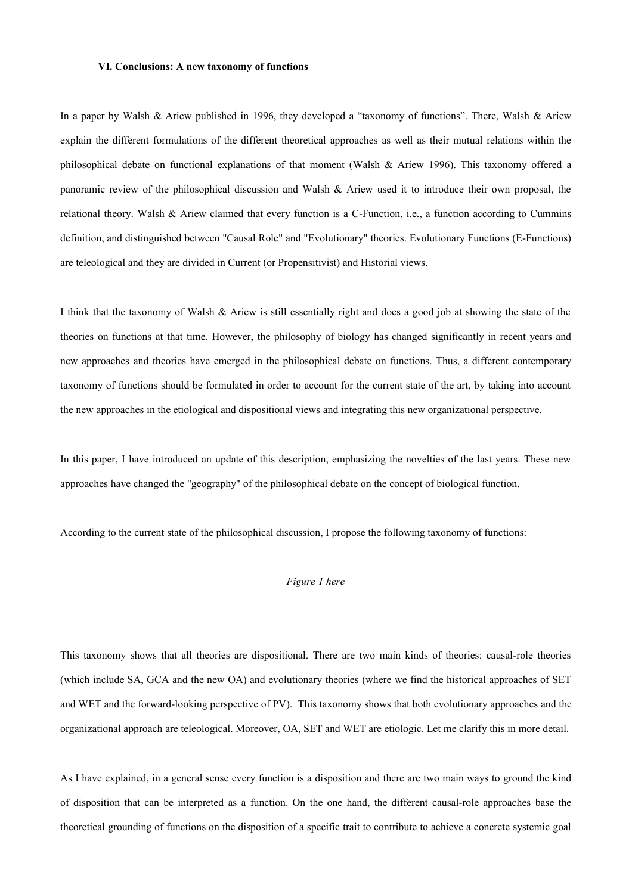#### **VI. Conclusions: A new taxonomy of functions**

In a paper by Walsh & Ariew published in 1996, they developed a "taxonomy of functions". There, Walsh & Ariew explain the different formulations of the different theoretical approaches as well as their mutual relations within the philosophical debate on functional explanations of that moment (Walsh & Ariew 1996). This taxonomy offered a panoramic review of the philosophical discussion and Walsh & Ariew used it to introduce their own proposal, the relational theory. Walsh & Ariew claimed that every function is a C-Function, i.e., a function according to Cummins definition, and distinguished between "Causal Role" and "Evolutionary" theories. Evolutionary Functions (E-Functions) are teleological and they are divided in Current (or Propensitivist) and Historial views.

I think that the taxonomy of Walsh & Ariew is still essentially right and does a good job at showing the state of the theories on functions at that time. However, the philosophy of biology has changed significantly in recent years and new approaches and theories have emerged in the philosophical debate on functions. Thus, a different contemporary taxonomy of functions should be formulated in order to account for the current state of the art, by taking into account the new approaches in the etiological and dispositional views and integrating this new organizational perspective.

In this paper, I have introduced an update of this description, emphasizing the novelties of the last years. These new approaches have changed the "geography" of the philosophical debate on the concept of biological function.

According to the current state of the philosophical discussion, I propose the following taxonomy of functions:

# *Figure 1 here*

This taxonomy shows that all theories are dispositional. There are two main kinds of theories: causal-role theories (which include SA, GCA and the new OA) and evolutionary theories (where we find the historical approaches of SET and WET and the forward-looking perspective of PV). This taxonomy shows that both evolutionary approaches and the organizational approach are teleological. Moreover, OA, SET and WET are etiologic. Let me clarify this in more detail.

As I have explained, in a general sense every function is a disposition and there are two main ways to ground the kind of disposition that can be interpreted as a function. On the one hand, the different causal-role approaches base the theoretical grounding of functions on the disposition of a specific trait to contribute to achieve a concrete systemic goal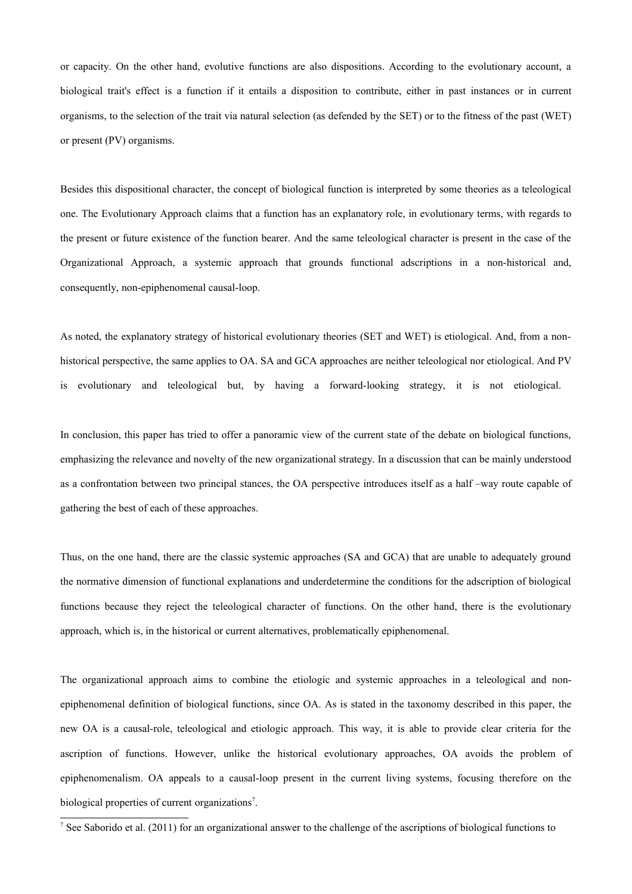or capacity. On the other hand, evolutive functions are also dispositions. According to the evolutionary account, a biological trait's effect is a function if it entails a disposition to contribute, either in past instances or in current organisms, to the selection of the trait via natural selection (as defended by the SET) or to the fitness of the past (WET) or present (PV) organisms.

Besides this dispositional character, the concept of biological function is interpreted by some theories as a teleological one. The Evolutionary Approach claims that a function has an explanatory role, in evolutionary terms, with regards to the present or future existence of the function bearer. And the same teleological character is present in the case of the Organizational Approach, a systemic approach that grounds functional adscriptions in a non-historical and, consequently, non-epiphenomenal causal-loop.

As noted, the explanatory strategy of historical evolutionary theories (SET and WET) is etiological. And, from a nonhistorical perspective, the same applies to OA. SA and GCA approaches are neither teleological nor etiological. And PV is evolutionary and teleological but, by having a forward-looking strategy, it is not etiological.

In conclusion, this paper has tried to offer a panoramic view of the current state of the debate on biological functions, emphasizing the relevance and novelty of the new organizational strategy. In a discussion that can be mainly understood as a confrontation between two principal stances, the OA perspective introduces itself as a half –way route capable of gathering the best of each of these approaches.

Thus, on the one hand, there are the classic systemic approaches (SA and GCA) that are unable to adequately ground the normative dimension of functional explanations and underdetermine the conditions for the adscription of biological functions because they reject the teleological character of functions. On the other hand, there is the evolutionary approach, which is, in the historical or current alternatives, problematically epiphenomenal.

The organizational approach aims to combine the etiologic and systemic approaches in a teleological and nonepiphenomenal definition of biological functions, since OA. As is stated in the taxonomy described in this paper, the new OA is a causal-role, teleological and etiologic approach. This way, it is able to provide clear criteria for the ascription of functions. However, unlike the historical evolutionary approaches, OA avoids the problem of epiphenomenalism. OA appeals to a causal-loop present in the current living systems, focusing therefore on the biological properties of current organizations<sup>[7](#page-15-0)</sup>.

<span id="page-15-0"></span><sup>&</sup>lt;sup>7</sup> See Saborido et al. (2011) for an organizational answer to the challenge of the ascriptions of biological functions to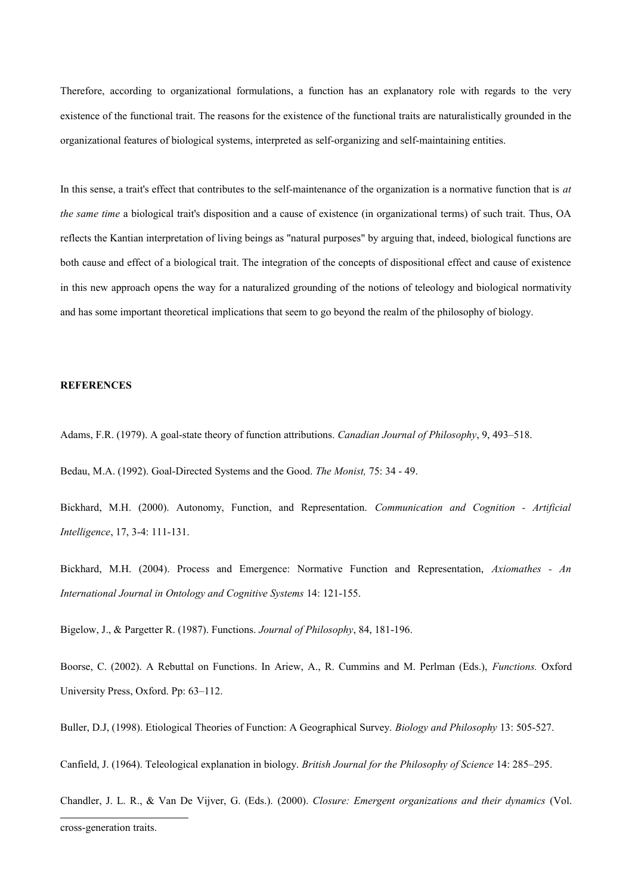Therefore, according to organizational formulations, a function has an explanatory role with regards to the very existence of the functional trait. The reasons for the existence of the functional traits are naturalistically grounded in the organizational features of biological systems, interpreted as self-organizing and self-maintaining entities.

In this sense, a trait's effect that contributes to the self-maintenance of the organization is a normative function that is *at the same time* a biological trait's disposition and a cause of existence (in organizational terms) of such trait. Thus, OA reflects the Kantian interpretation of living beings as "natural purposes" by arguing that, indeed, biological functions are both cause and effect of a biological trait. The integration of the concepts of dispositional effect and cause of existence in this new approach opens the way for a naturalized grounding of the notions of teleology and biological normativity and has some important theoretical implications that seem to go beyond the realm of the philosophy of biology.

## **REFERENCES**

Adams, F.R. (1979). A goal-state theory of function attributions. *Canadian Journal of Philosophy*, 9, 493–518.

Bedau, M.A. (1992). Goal-Directed Systems and the Good. *The Monist,* 75: 34 - 49.

Bickhard, M.H. (2000). Autonomy, Function, and Representation. *Communication and Cognition - Artificial Intelligence*, 17, 3-4: 111-131.

Bickhard, M.H. (2004). Process and Emergence: Normative Function and Representation, *Axiomathes - An International Journal in Ontology and Cognitive Systems* 14: 121-155.

Bigelow, J., & Pargetter R. (1987). Functions. *Journal of Philosophy*, 84, 181-196.

Boorse, C. (2002). A Rebuttal on Functions. In Ariew, A., R. Cummins and M. Perlman (Eds.), *Functions.* Oxford University Press, Oxford. Pp: 63–112.

Buller, D.J, (1998). Etiological Theories of Function: A Geographical Survey. *Biology and Philosophy* 13: 505-527.

Canfield, J. (1964). Teleological explanation in biology. *British Journal for the Philosophy of Science* 14: 285–295.

Chandler, J. L. R., & Van De Vijver, G. (Eds.). (2000). *Closure: Emergent organizations and their dynamics* (Vol. cross-generation traits.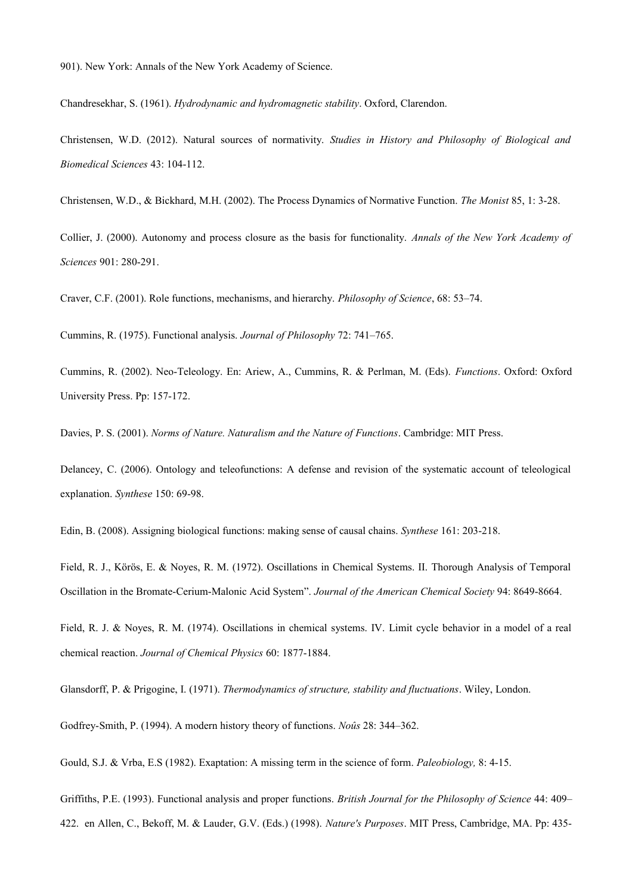901). New York: Annals of the New York Academy of Science.

Chandresekhar, S. (1961). *Hydrodynamic and hydromagnetic stability*. Oxford, Clarendon.

Christensen, W.D. (2012). Natural sources of normativity. *Studies in History and Philosophy of Biological and Biomedical Sciences* 43: 104-112.

Christensen, W.D., & Bickhard, M.H. (2002). The Process Dynamics of Normative Function. *The Monist* 85, 1: 3-28.

Collier, J. (2000). Autonomy and process closure as the basis for functionality. *Annals of the New York Academy of Sciences* 901: 280-291.

Craver, C.F. (2001). Role functions, mechanisms, and hierarchy. *Philosophy of Science*, 68: 53–74.

Cummins, R. (1975). Functional analysis. *Journal of Philosophy* 72: 741–765.

Cummins, R. (2002). Neo-Teleology. En: Ariew, A., Cummins, R. & Perlman, M. (Eds). *Functions*. Oxford: Oxford University Press. Pp: 157-172.

Davies, P. S. (2001). *Norms of Nature. Naturalism and the Nature of Functions*. Cambridge: MIT Press.

Delancey, C. (2006). Ontology and teleofunctions: A defense and revision of the systematic account of teleological explanation. *Synthese* 150: 69-98.

Edin, B. (2008). Assigning biological functions: making sense of causal chains. *Synthese* 161: 203-218.

Field, R. J., Körös, E. & Noyes, R. M. (1972). Oscillations in Chemical Systems. II. Thorough Analysis of Temporal Oscillation in the Bromate-Cerium-Malonic Acid System". *Journal of the American Chemical Society* 94: 8649-8664.

Field, R. J. & Noyes, R. M. (1974). Oscillations in chemical systems. IV. Limit cycle behavior in a model of a real chemical reaction. *Journal of Chemical Physics* 60: 1877-1884.

Glansdorff, P. & Prigogine, I. (1971). *Thermodynamics of structure, stability and fluctuations*. Wiley, London.

Godfrey-Smith, P. (1994). A modern history theory of functions. *Noûs* 28: 344–362.

Gould, S.J. & Vrba, E.S (1982). Exaptation: A missing term in the science of form. *Paleobiology,* 8: 4-15.

Griffiths, P.E. (1993). Functional analysis and proper functions. *British Journal for the Philosophy of Science* 44: 409– 422. en Allen, C., Bekoff, M. & Lauder, G.V. (Eds.) (1998). *Nature's Purposes*. MIT Press, Cambridge, MA. Pp: 435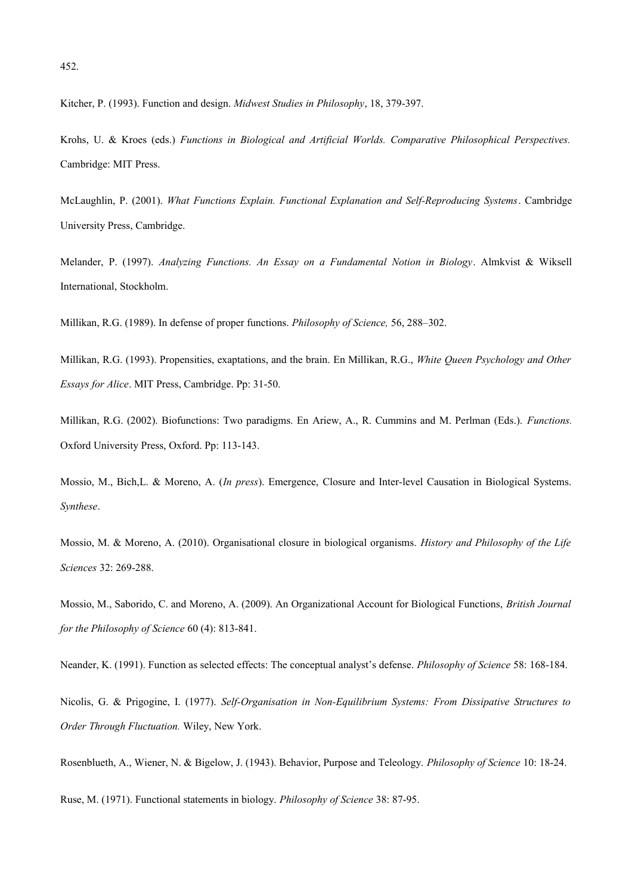Kitcher, P. (1993). Function and design. *Midwest Studies in Philosophy*, 18, 379-397.

Krohs, U. & Kroes (eds.) *Functions in Biological and Artificial Worlds. Comparative Philosophical Perspectives.* Cambridge: MIT Press.

McLaughlin, P. (2001). *What Functions Explain. Functional Explanation and Self-Reproducing Systems*. Cambridge University Press, Cambridge.

Melander, P. (1997). *Analyzing Functions. An Essay on a Fundamental Notion in Biology*. Almkvist & Wiksell International, Stockholm.

Millikan, R.G. (1989). In defense of proper functions. *Philosophy of Science,* 56, 288–302.

Millikan, R.G. (1993). Propensities, exaptations, and the brain. En Millikan, R.G., *White Queen Psychology and Other Essays for Alice*. MIT Press, Cambridge. Pp: 31-50.

Millikan, R.G. (2002). Biofunctions: Two paradigms. En Ariew, A., R. Cummins and M. Perlman (Eds.). *Functions.* Oxford University Press, Oxford. Pp: 113-143.

Mossio, M., Bich,L. & Moreno, A. (*In press*). Emergence, Closure and Inter-level Causation in Biological Systems. *Synthese*.

Mossio, M. & Moreno, A. (2010). Organisational closure in biological organisms. *History and Philosophy of the Life Sciences* 32: 269-288.

Mossio, M., Saborido, C. and Moreno, A. (2009). An Organizational Account for Biological Functions, *British Journal for the Philosophy of Science* 60 (4): 813-841.

Neander, K. (1991). Function as selected effects: The conceptual analyst's defense. *Philosophy of Science* 58: 168-184.

Nicolis, G. & Prigogine, I. (1977). *Self-Organisation in Non-Equilibrium Systems: From Dissipative Structures to Order Through Fluctuation.* Wiley, New York.

Rosenblueth, A., Wiener, N. & Bigelow, J. (1943). Behavior, Purpose and Teleology. *Philosophy of Science* 10: 18-24.

Ruse, M. (1971). Functional statements in biology. *Philosophy of Science* 38: 87-95.